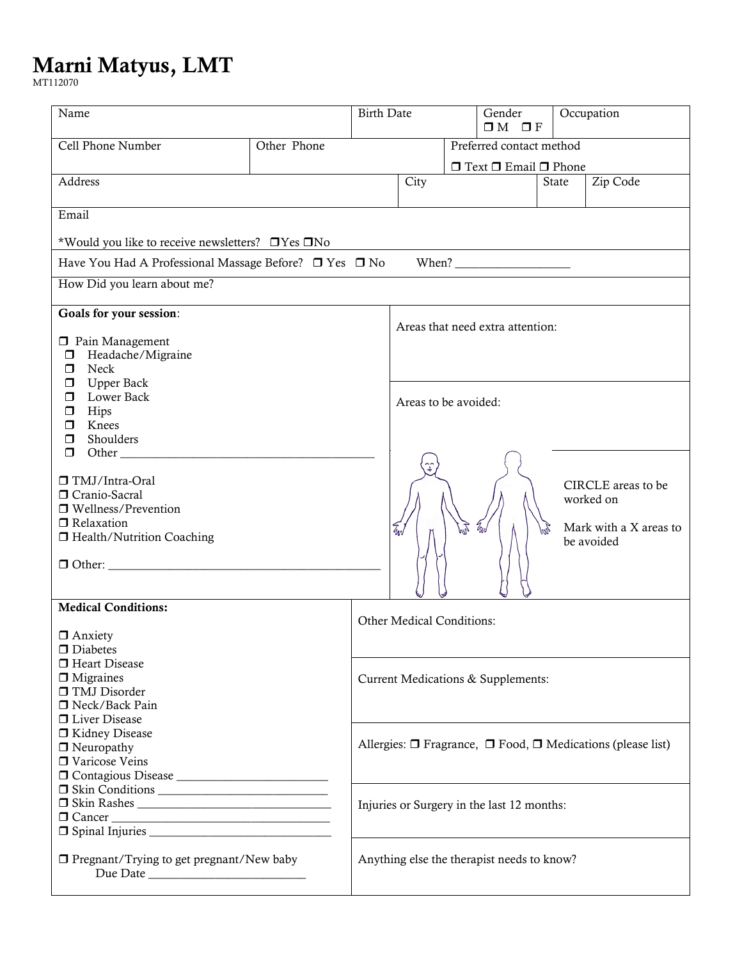## **Marni Matyus, LMT**

MT112070

| Name                                                                            |               | <b>Birth Date</b>                |                                                                            |                      | Gender<br>$\Box M$ $\Box F$           |                        | Occupation         |  |  |
|---------------------------------------------------------------------------------|---------------|----------------------------------|----------------------------------------------------------------------------|----------------------|---------------------------------------|------------------------|--------------------|--|--|
| Other Phone<br>Cell Phone Number                                                |               |                                  | Preferred contact method                                                   |                      |                                       |                        |                    |  |  |
|                                                                                 |               |                                  |                                                                            |                      | $\Box$ Text $\Box$ Email $\Box$ Phone |                        |                    |  |  |
| Address                                                                         |               |                                  | City                                                                       |                      |                                       | State                  | Zip Code           |  |  |
|                                                                                 |               |                                  |                                                                            |                      |                                       |                        |                    |  |  |
| Email                                                                           |               |                                  |                                                                            |                      |                                       |                        |                    |  |  |
| *Would you like to receive newsletters? <b>DYes</b> DNo                         |               |                                  |                                                                            |                      |                                       |                        |                    |  |  |
| Have You Had A Professional Massage Before? □ Yes □ No                          |               |                                  |                                                                            |                      |                                       |                        |                    |  |  |
| How Did you learn about me?                                                     |               |                                  |                                                                            |                      |                                       |                        |                    |  |  |
| Goals for your session:                                                         |               |                                  |                                                                            |                      |                                       |                        |                    |  |  |
|                                                                                 |               | Areas that need extra attention: |                                                                            |                      |                                       |                        |                    |  |  |
| <b>D</b> Pain Management<br>Headache/Migraine<br>$\Box$                         |               |                                  |                                                                            |                      |                                       |                        |                    |  |  |
| Neck<br>$\Box$                                                                  |               |                                  |                                                                            |                      |                                       |                        |                    |  |  |
| <b>Upper Back</b><br>$\Box$                                                     |               |                                  |                                                                            |                      |                                       |                        |                    |  |  |
| Lower Back<br>$\Box$<br>Hips<br>$\Box$                                          |               |                                  |                                                                            | Areas to be avoided: |                                       |                        |                    |  |  |
| Knees<br>$\Box$                                                                 |               |                                  |                                                                            |                      |                                       |                        |                    |  |  |
| Shoulders<br>$\Box$                                                             |               |                                  |                                                                            |                      |                                       |                        |                    |  |  |
| $\Box$                                                                          |               |                                  |                                                                            |                      |                                       |                        |                    |  |  |
| □ TMJ/Intra-Oral                                                                |               |                                  |                                                                            |                      |                                       |                        |                    |  |  |
| Cranio-Sacral                                                                   |               |                                  |                                                                            |                      |                                       |                        | CIRCLE areas to be |  |  |
| worked on<br>$\Box$ Wellness/Prevention<br>Relaxation<br>Z<br>W<br>EJ<br>g<br>W |               |                                  |                                                                            |                      |                                       |                        |                    |  |  |
|                                                                                 |               |                                  |                                                                            |                      |                                       | Mark with a X areas to |                    |  |  |
| □ Health/Nutrition Coaching                                                     |               |                                  |                                                                            |                      |                                       |                        | be avoided         |  |  |
| $\Box$ Other: $\Box$                                                            |               |                                  |                                                                            |                      |                                       |                        |                    |  |  |
|                                                                                 |               |                                  |                                                                            |                      |                                       |                        |                    |  |  |
|                                                                                 |               |                                  |                                                                            |                      |                                       |                        |                    |  |  |
| <b>Medical Conditions:</b><br>$\Box$ Anxiety                                    |               |                                  | Other Medical Conditions:                                                  |                      |                                       |                        |                    |  |  |
|                                                                                 |               |                                  |                                                                            |                      |                                       |                        |                    |  |  |
| $\Box$ Diabetes                                                                 |               |                                  |                                                                            |                      |                                       |                        |                    |  |  |
|                                                                                 | Heart Disease |                                  |                                                                            |                      |                                       |                        |                    |  |  |
| $\Box$ Migraines<br>□ TMJ Disorder                                              |               |                                  |                                                                            |                      | Current Medications & Supplements:    |                        |                    |  |  |
| □ Neck/Back Pain                                                                |               |                                  |                                                                            |                      |                                       |                        |                    |  |  |
| □ Liver Disease                                                                 |               |                                  |                                                                            |                      |                                       |                        |                    |  |  |
| □ Kidney Disease                                                                |               |                                  | Allergies: $\Box$ Fragrance, $\Box$ Food, $\Box$ Medications (please list) |                      |                                       |                        |                    |  |  |
| $\Box$ Neuropathy<br>□ Varicose Veins                                           |               |                                  |                                                                            |                      |                                       |                        |                    |  |  |
|                                                                                 |               |                                  |                                                                            |                      |                                       |                        |                    |  |  |
|                                                                                 |               |                                  |                                                                            |                      |                                       |                        |                    |  |  |
|                                                                                 |               |                                  | Injuries or Surgery in the last 12 months:                                 |                      |                                       |                        |                    |  |  |
| $\Box$ Cancer                                                                   |               |                                  |                                                                            |                      |                                       |                        |                    |  |  |
|                                                                                 |               |                                  |                                                                            |                      |                                       |                        |                    |  |  |
| $\Box$ Pregnant/Trying to get pregnant/New baby                                 |               |                                  | Anything else the therapist needs to know?                                 |                      |                                       |                        |                    |  |  |
| Due Date                                                                        |               |                                  |                                                                            |                      |                                       |                        |                    |  |  |